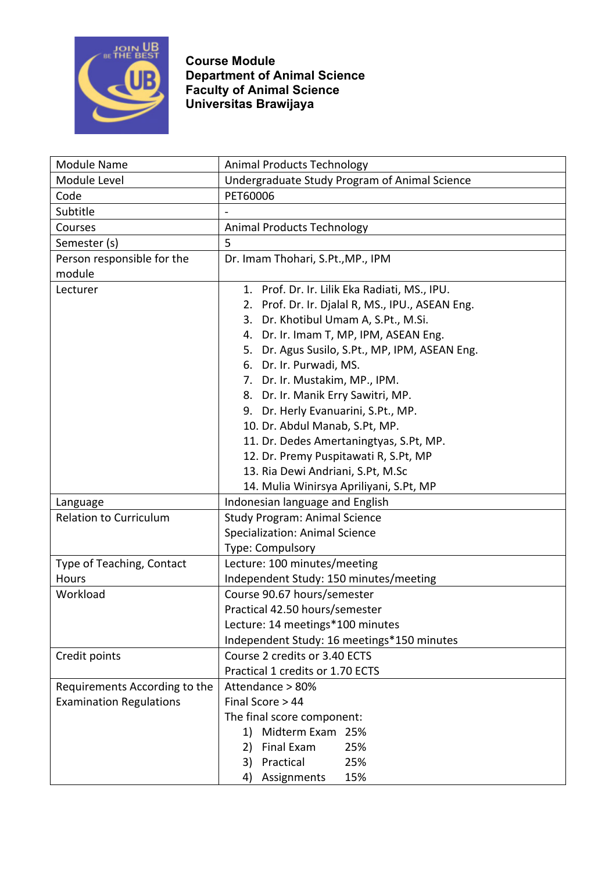

| Module Name                    | <b>Animal Products Technology</b>                   |  |  |  |
|--------------------------------|-----------------------------------------------------|--|--|--|
| Module Level                   | Undergraduate Study Program of Animal Science       |  |  |  |
| Code                           | PET60006                                            |  |  |  |
| Subtitle                       |                                                     |  |  |  |
| Courses                        | <b>Animal Products Technology</b>                   |  |  |  |
| Semester (s)                   | 5                                                   |  |  |  |
| Person responsible for the     | Dr. Imam Thohari, S.Pt., MP., IPM                   |  |  |  |
| module                         |                                                     |  |  |  |
| Lecturer                       | 1. Prof. Dr. Ir. Lilik Eka Radiati, MS., IPU.       |  |  |  |
|                                | Prof. Dr. Ir. Djalal R, MS., IPU., ASEAN Eng.<br>2. |  |  |  |
|                                | 3. Dr. Khotibul Umam A, S.Pt., M.Si.                |  |  |  |
|                                | 4. Dr. Ir. Imam T, MP, IPM, ASEAN Eng.              |  |  |  |
|                                | 5. Dr. Agus Susilo, S.Pt., MP, IPM, ASEAN Eng.      |  |  |  |
|                                | 6. Dr. Ir. Purwadi, MS.                             |  |  |  |
|                                | 7. Dr. Ir. Mustakim, MP., IPM.                      |  |  |  |
|                                | 8. Dr. Ir. Manik Erry Sawitri, MP.                  |  |  |  |
|                                | 9. Dr. Herly Evanuarini, S.Pt., MP.                 |  |  |  |
|                                | 10. Dr. Abdul Manab, S.Pt, MP.                      |  |  |  |
|                                | 11. Dr. Dedes Amertaningtyas, S.Pt, MP.             |  |  |  |
|                                | 12. Dr. Premy Puspitawati R, S.Pt, MP               |  |  |  |
|                                | 13. Ria Dewi Andriani, S.Pt, M.Sc                   |  |  |  |
|                                | 14. Mulia Winirsya Apriliyani, S.Pt, MP             |  |  |  |
| Language                       | Indonesian language and English                     |  |  |  |
| <b>Relation to Curriculum</b>  | <b>Study Program: Animal Science</b>                |  |  |  |
|                                | <b>Specialization: Animal Science</b>               |  |  |  |
|                                | Type: Compulsory                                    |  |  |  |
| Type of Teaching, Contact      | Lecture: 100 minutes/meeting                        |  |  |  |
| Hours                          | Independent Study: 150 minutes/meeting              |  |  |  |
| Workload                       | Course 90.67 hours/semester                         |  |  |  |
|                                | Practical 42.50 hours/semester                      |  |  |  |
|                                | Lecture: 14 meetings*100 minutes                    |  |  |  |
|                                | Independent Study: 16 meetings*150 minutes          |  |  |  |
| Credit points                  | Course 2 credits or 3.40 ECTS                       |  |  |  |
|                                | Practical 1 credits or 1.70 ECTS                    |  |  |  |
| Requirements According to the  | Attendance > 80%                                    |  |  |  |
| <b>Examination Regulations</b> | Final Score > 44                                    |  |  |  |
|                                | The final score component:                          |  |  |  |
|                                | Midterm Exam 25%<br>1)                              |  |  |  |
|                                | Final Exam<br>25%<br>2)                             |  |  |  |
|                                | Practical<br>25%<br>3)                              |  |  |  |
|                                | 15%<br>4) Assignments                               |  |  |  |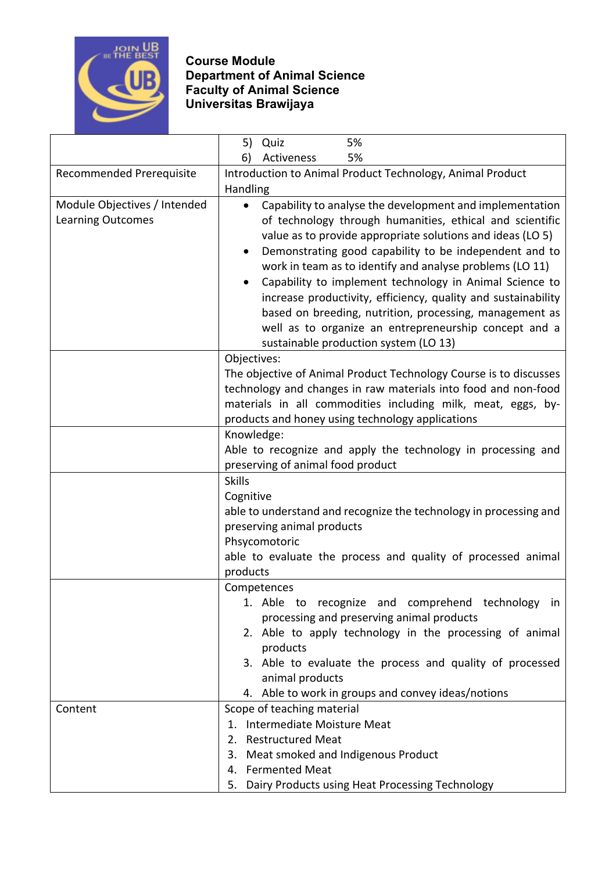

|                              | 5)<br>Quiz<br>5%                                                                 |  |  |  |
|------------------------------|----------------------------------------------------------------------------------|--|--|--|
|                              | 5%<br>6)<br>Activeness                                                           |  |  |  |
| Recommended Prerequisite     | Introduction to Animal Product Technology, Animal Product                        |  |  |  |
|                              | Handling                                                                         |  |  |  |
| Module Objectives / Intended | Capability to analyse the development and implementation<br>$\bullet$            |  |  |  |
| <b>Learning Outcomes</b>     | of technology through humanities, ethical and scientific                         |  |  |  |
|                              | value as to provide appropriate solutions and ideas (LO 5)                       |  |  |  |
|                              | Demonstrating good capability to be independent and to<br>$\bullet$              |  |  |  |
|                              | work in team as to identify and analyse problems (LO 11)                         |  |  |  |
|                              | Capability to implement technology in Animal Science to<br>$\bullet$             |  |  |  |
|                              | increase productivity, efficiency, quality and sustainability                    |  |  |  |
|                              | based on breeding, nutrition, processing, management as                          |  |  |  |
|                              | well as to organize an entrepreneurship concept and a                            |  |  |  |
|                              | sustainable production system (LO 13)                                            |  |  |  |
|                              | Objectives:<br>The objective of Animal Product Technology Course is to discusses |  |  |  |
|                              | technology and changes in raw materials into food and non-food                   |  |  |  |
|                              | materials in all commodities including milk, meat, eggs, by-                     |  |  |  |
|                              | products and honey using technology applications                                 |  |  |  |
|                              | Knowledge:                                                                       |  |  |  |
|                              | Able to recognize and apply the technology in processing and                     |  |  |  |
|                              | preserving of animal food product                                                |  |  |  |
|                              | <b>Skills</b>                                                                    |  |  |  |
|                              | Cognitive                                                                        |  |  |  |
|                              | able to understand and recognize the technology in processing and                |  |  |  |
|                              | preserving animal products                                                       |  |  |  |
|                              | Phsycomotoric                                                                    |  |  |  |
|                              | able to evaluate the process and quality of processed animal                     |  |  |  |
|                              | products                                                                         |  |  |  |
|                              | Competences<br>1. Able to recognize and comprehend technology in                 |  |  |  |
|                              | processing and preserving animal products                                        |  |  |  |
|                              | 2. Able to apply technology in the processing of animal                          |  |  |  |
|                              | products                                                                         |  |  |  |
|                              | 3. Able to evaluate the process and quality of processed                         |  |  |  |
|                              | animal products                                                                  |  |  |  |
|                              | 4. Able to work in groups and convey ideas/notions                               |  |  |  |
| Content                      | Scope of teaching material                                                       |  |  |  |
|                              | 1. Intermediate Moisture Meat                                                    |  |  |  |
|                              | 2. Restructured Meat                                                             |  |  |  |
|                              | 3. Meat smoked and Indigenous Product                                            |  |  |  |
|                              | 4. Fermented Meat                                                                |  |  |  |
|                              | 5. Dairy Products using Heat Processing Technology                               |  |  |  |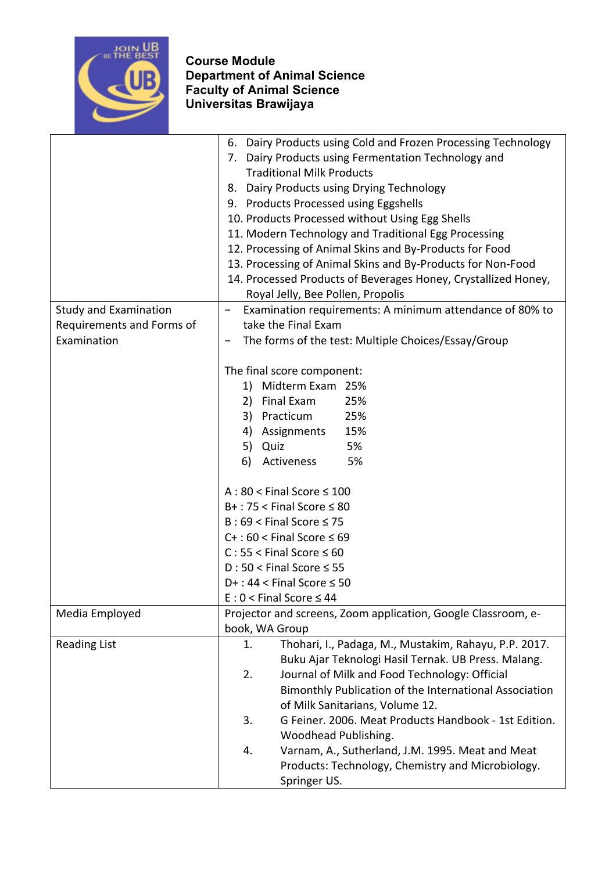

|                              | Dairy Products using Cold and Frozen Processing Technology<br>6.                                                                                                                                                                                                                                    |  |  |  |
|------------------------------|-----------------------------------------------------------------------------------------------------------------------------------------------------------------------------------------------------------------------------------------------------------------------------------------------------|--|--|--|
|                              | 7. Dairy Products using Fermentation Technology and                                                                                                                                                                                                                                                 |  |  |  |
|                              | <b>Traditional Milk Products</b>                                                                                                                                                                                                                                                                    |  |  |  |
|                              | Dairy Products using Drying Technology<br>8.                                                                                                                                                                                                                                                        |  |  |  |
|                              | 9. Products Processed using Eggshells                                                                                                                                                                                                                                                               |  |  |  |
|                              | 10. Products Processed without Using Egg Shells<br>11. Modern Technology and Traditional Egg Processing<br>12. Processing of Animal Skins and By-Products for Food<br>13. Processing of Animal Skins and By-Products for Non-Food<br>14. Processed Products of Beverages Honey, Crystallized Honey, |  |  |  |
|                              |                                                                                                                                                                                                                                                                                                     |  |  |  |
|                              |                                                                                                                                                                                                                                                                                                     |  |  |  |
|                              |                                                                                                                                                                                                                                                                                                     |  |  |  |
|                              |                                                                                                                                                                                                                                                                                                     |  |  |  |
|                              | Royal Jelly, Bee Pollen, Propolis                                                                                                                                                                                                                                                                   |  |  |  |
| <b>Study and Examination</b> | Examination requirements: A minimum attendance of 80% to<br>$\qquad \qquad -$                                                                                                                                                                                                                       |  |  |  |
| Requirements and Forms of    | take the Final Exam                                                                                                                                                                                                                                                                                 |  |  |  |
| Examination                  | The forms of the test: Multiple Choices/Essay/Group                                                                                                                                                                                                                                                 |  |  |  |
|                              |                                                                                                                                                                                                                                                                                                     |  |  |  |
|                              | The final score component:                                                                                                                                                                                                                                                                          |  |  |  |
|                              | Midterm Exam 25%<br>1)                                                                                                                                                                                                                                                                              |  |  |  |
|                              | 2) Final Exam<br>25%                                                                                                                                                                                                                                                                                |  |  |  |
|                              | 25%<br>3) Practicum                                                                                                                                                                                                                                                                                 |  |  |  |
|                              | 15%<br>4) Assignments                                                                                                                                                                                                                                                                               |  |  |  |
|                              | 5) Quiz<br>5%                                                                                                                                                                                                                                                                                       |  |  |  |
|                              | 6)<br>Activeness<br>5%                                                                                                                                                                                                                                                                              |  |  |  |
|                              | $A:80 <$ Final Score $\leq 100$<br>$B+$ : 75 < Final Score $\leq 80$                                                                                                                                                                                                                                |  |  |  |
|                              |                                                                                                                                                                                                                                                                                                     |  |  |  |
|                              | $B:69 <$ Final Score $\leq 75$                                                                                                                                                                                                                                                                      |  |  |  |
|                              | $C+$ : 60 < Final Score $\leq 69$                                                                                                                                                                                                                                                                   |  |  |  |
|                              | $C: 55 <$ Final Score $\leq 60$<br>$D:50 <$ Final Score $\leq 55$<br>$D+$ : 44 < Final Score $\leq$ 50                                                                                                                                                                                              |  |  |  |
|                              |                                                                                                                                                                                                                                                                                                     |  |  |  |
|                              |                                                                                                                                                                                                                                                                                                     |  |  |  |
|                              | $E: 0 <$ Final Score $\leq 44$                                                                                                                                                                                                                                                                      |  |  |  |
| Media Employed               | Projector and screens, Zoom application, Google Classroom, e-                                                                                                                                                                                                                                       |  |  |  |
|                              | book, WA Group                                                                                                                                                                                                                                                                                      |  |  |  |
| <b>Reading List</b>          | Thohari, I., Padaga, M., Mustakim, Rahayu, P.P. 2017.<br>1.                                                                                                                                                                                                                                         |  |  |  |
|                              | Buku Ajar Teknologi Hasil Ternak. UB Press. Malang.                                                                                                                                                                                                                                                 |  |  |  |
|                              | Journal of Milk and Food Technology: Official<br>2.                                                                                                                                                                                                                                                 |  |  |  |
|                              | Bimonthly Publication of the International Association                                                                                                                                                                                                                                              |  |  |  |
|                              | of Milk Sanitarians, Volume 12.                                                                                                                                                                                                                                                                     |  |  |  |
|                              | 3.<br>G Feiner. 2006. Meat Products Handbook - 1st Edition.                                                                                                                                                                                                                                         |  |  |  |
|                              | Woodhead Publishing.                                                                                                                                                                                                                                                                                |  |  |  |
|                              | Varnam, A., Sutherland, J.M. 1995. Meat and Meat<br>4.                                                                                                                                                                                                                                              |  |  |  |
|                              | Products: Technology, Chemistry and Microbiology.                                                                                                                                                                                                                                                   |  |  |  |
|                              | Springer US.                                                                                                                                                                                                                                                                                        |  |  |  |